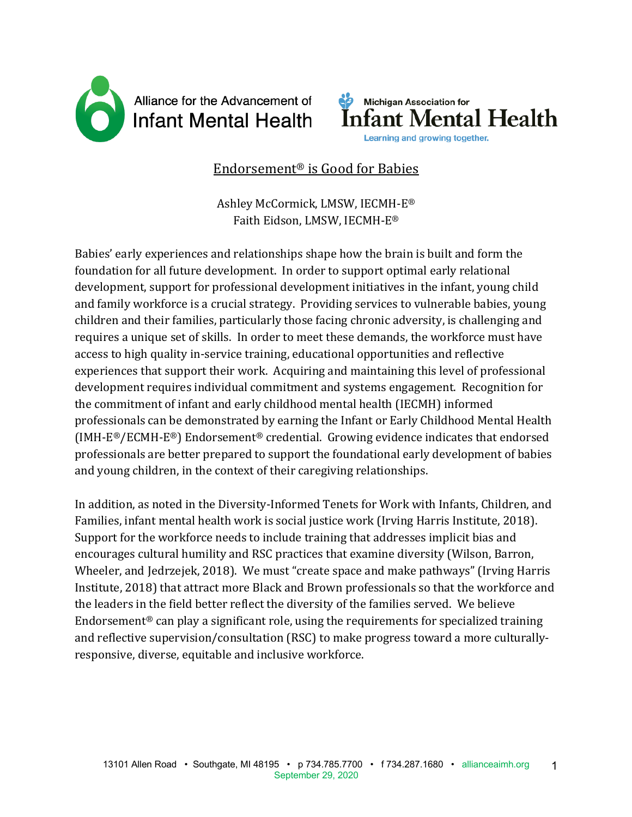



# Endorsement<sup>®</sup> is Good for Babies

Ashley McCormick, LMSW, IECMH-E® Faith Eidson, LMSW, IECMH-E®

Babies' early experiences and relationships shape how the brain is built and form the foundation for all future development. In order to support optimal early relational development, support for professional development initiatives in the infant, young child and family workforce is a crucial strategy. Providing services to vulnerable babies, young children and their families, particularly those facing chronic adversity, is challenging and requires a unique set of skills. In order to meet these demands, the workforce must have access to high quality in-service training, educational opportunities and reflective experiences that support their work. Acquiring and maintaining this level of professional development requires individual commitment and systems engagement. Recognition for the commitment of infant and early childhood mental health (IECMH) informed professionals can be demonstrated by earning the Infant or Early Childhood Mental Health (IMH-E<sup>®</sup>/ECMH-E<sup>®</sup>) Endorsement<sup>®</sup> credential. Growing evidence indicates that endorsed professionals are better prepared to support the foundational early development of babies and young children, in the context of their caregiving relationships.

In addition, as noted in the Diversity-Informed Tenets for Work with Infants, Children, and Families, infant mental health work is social justice work (Irving Harris Institute, 2018). Support for the workforce needs to include training that addresses implicit bias and encourages cultural humility and RSC practices that examine diversity (Wilson, Barron, Wheeler, and Jedrzejek, 2018). We must "create space and make pathways" (Irving Harris Institute, 2018) that attract more Black and Brown professionals so that the workforce and the leaders in the field better reflect the diversity of the families served. We believe Endorsement<sup>®</sup> can play a significant role, using the requirements for specialized training and reflective supervision/consultation (RSC) to make progress toward a more culturallyresponsive, diverse, equitable and inclusive workforce.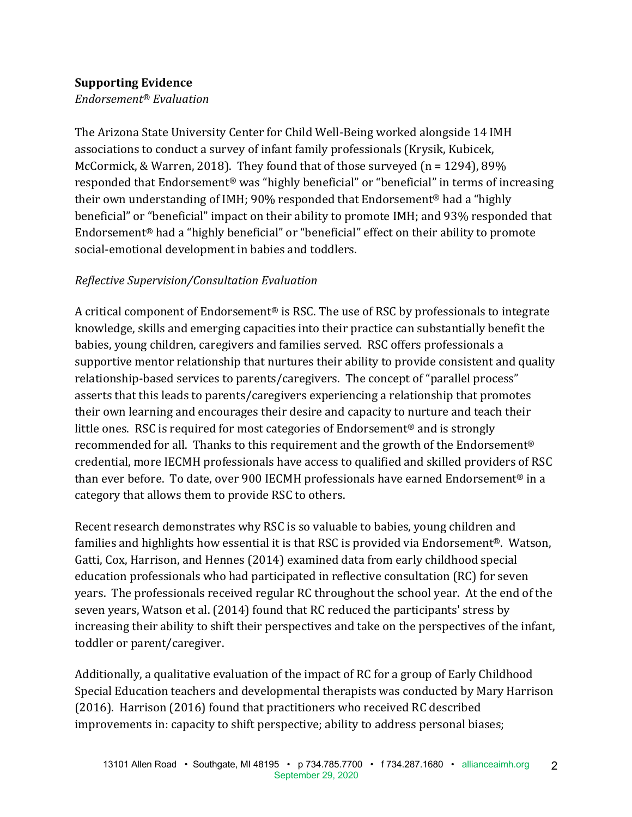### **Supporting Evidence**

*Endorsement® Evaluation*

The Arizona State University Center for Child Well-Being worked alongside 14 IMH associations to conduct a survey of infant family professionals (Krysik, Kubicek, McCormick, & Warren, 2018). They found that of those surveyed  $(n = 1294)$ , 89% responded that Endorsement<sup>®</sup> was "highly beneficial" or "beneficial" in terms of increasing their own understanding of IMH; 90% responded that Endorsement<sup>®</sup> had a "highly beneficial" or "beneficial" impact on their ability to promote IMH; and 93% responded that Endorsement<sup>®</sup> had a "highly beneficial" or "beneficial" effect on their ability to promote social-emotional development in babies and toddlers.

## *Reflective Supervision/Consultation Evaluation*

A critical component of Endorsement<sup>®</sup> is RSC. The use of RSC by professionals to integrate knowledge, skills and emerging capacities into their practice can substantially benefit the babies, young children, caregivers and families served. RSC offers professionals a supportive mentor relationship that nurtures their ability to provide consistent and quality relationship-based services to parents/caregivers. The concept of "parallel process" asserts that this leads to parents/caregivers experiencing a relationship that promotes their own learning and encourages their desire and capacity to nurture and teach their little ones. RSC is required for most categories of Endorsement<sup>®</sup> and is strongly recommended for all. Thanks to this requirement and the growth of the Endorsement<sup>®</sup> credential, more IECMH professionals have access to qualified and skilled providers of RSC than ever before. To date, over 900 IECMH professionals have earned Endorsement<sup>®</sup> in a category that allows them to provide RSC to others.

Recent research demonstrates why RSC is so valuable to babies, young children and families and highlights how essential it is that RSC is provided via Endorsement<sup>®</sup>. Watson, Gatti, Cox, Harrison, and Hennes (2014) examined data from early childhood special education professionals who had participated in reflective consultation (RC) for seven years. The professionals received regular RC throughout the school year. At the end of the seven years, Watson et al. (2014) found that RC reduced the participants' stress by increasing their ability to shift their perspectives and take on the perspectives of the infant, toddler or parent/caregiver.

Additionally, a qualitative evaluation of the impact of RC for a group of Early Childhood Special Education teachers and developmental therapists was conducted by Mary Harrison (2016). Harrison (2016) found that practitioners who received RC described improvements in: capacity to shift perspective; ability to address personal biases;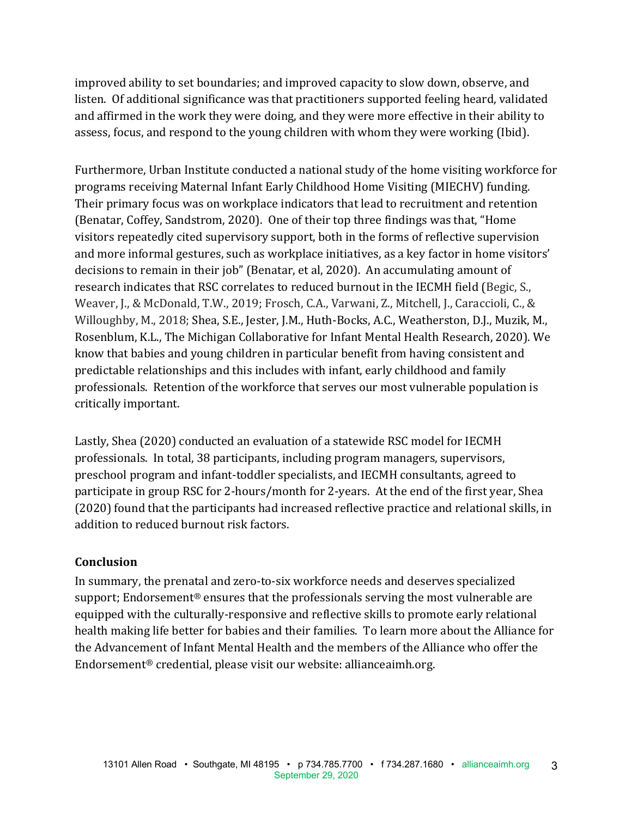improved ability to set boundaries; and improved capacity to slow down, observe, and listen. Of additional significance was that practitioners supported feeling heard, validated and affirmed in the work they were doing, and they were more effective in their ability to assess, focus, and respond to the young children with whom they were working (Ibid).

Furthermore, Urban Institute conducted a national study of the home visiting workforce for programs receiving Maternal Infant Early Childhood Home Visiting (MIECHV) funding. Their primary focus was on workplace indicators that lead to recruitment and retention (Benatar, Coffey, Sandstrom, 2020). One of their top three findings was that, "Home visitors repeatedly cited supervisory support, both in the forms of reflective supervision and more informal gestures, such as workplace initiatives, as a key factor in home visitors' decisions to remain in their job" (Benatar, et al, 2020). An accumulating amount of research indicates that RSC correlates to reduced burnout in the IECMH field (Begic, S., Weaver, J., & McDonald, T.W., 2019; Frosch, C.A., Varwani, Z., Mitchell, J., Caraccioli, C., & Willoughby, M., 2018; Shea, S.E., Jester, J.M., Huth-Bocks, A.C., Weatherston, D.J., Muzik, M., Rosenblum, K.L., The Michigan Collaborative for Infant Mental Health Research, 2020). We know that babies and young children in particular benefit from having consistent and predictable relationships and this includes with infant, early childhood and family professionals. Retention of the workforce that serves our most vulnerable population is critically important.

Lastly, Shea (2020) conducted an evaluation of a statewide RSC model for IECMH professionals. In total, 38 participants, including program managers, supervisors, preschool program and infant-toddler specialists, and IECMH consultants, agreed to participate in group RSC for 2-hours/month for 2-years. At the end of the first year, Shea (2020) found that the participants had increased reflective practice and relational skills, in addition to reduced burnout risk factors.

#### **Conclusion**

In summary, the prenatal and zero-to-six workforce needs and deserves specialized support; Endorsement<sup>®</sup> ensures that the professionals serving the most vulnerable are equipped with the culturally-responsive and reflective skills to promote early relational health making life better for babies and their families. To learn more about the Alliance for the Advancement of Infant Mental Health and the members of the Alliance who offer the Endorsement<sup>®</sup> credential, please visit our website: allianceaimh.org.